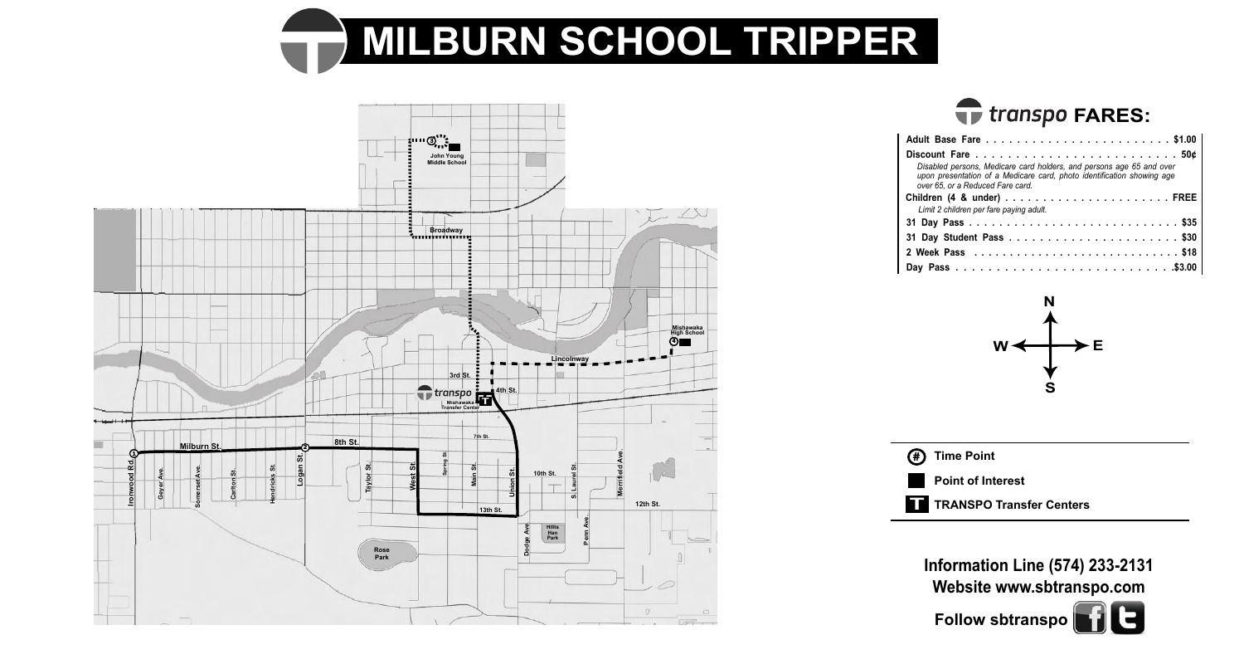



## **FARES:**

| Disabled persons, Medicare card holders, and persons age 65 and over<br>upon presentation of a Medicare card, photo identification showing age<br>over 65, or a Reduced Fare card. |
|------------------------------------------------------------------------------------------------------------------------------------------------------------------------------------|
| Limit 2 children per fare paying adult.                                                                                                                                            |
|                                                                                                                                                                                    |
|                                                                                                                                                                                    |
|                                                                                                                                                                                    |
|                                                                                                                                                                                    |





**Review** SD **Capital Ave. iormat<br>/ebsit Medford Ln. Information Line (574) 233-2131 Website www.sbtranspo.com Follow sbtranspo**